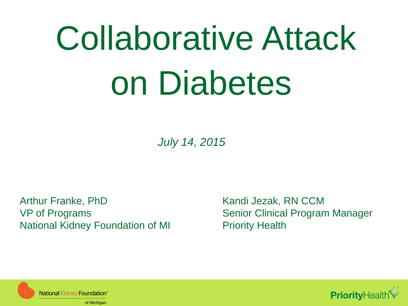# Collaborative Attack on Diabetes

*July 14, 2015*

Arthur Franke, PhD VP of Programs National Kidney Foundation of MI

Kandi Jezak, RN CCM Senior Clinical Program Manager Priority Health



**National Kidney Foundation®** of Michigan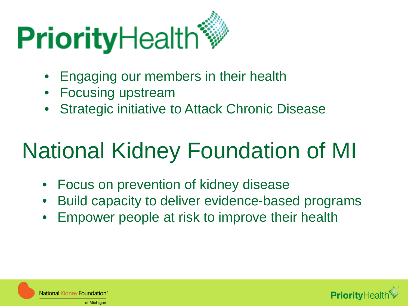# **Priority**Health<sup>\*</sup>

- Engaging our members in their health
- Focusing upstream
- **Strategic initiative to Attack Chronic Disease**

## National Kidney Foundation of MI

- Focus on prevention of kidney disease
- Build capacity to deliver evidence-based programs
- Empower people at risk to improve their health



National Kidney Foundation® of Michigan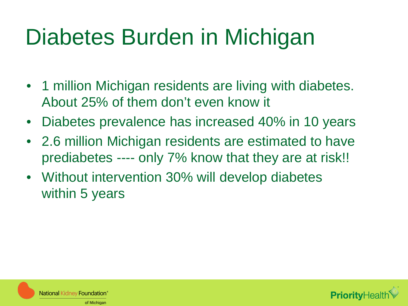## Diabetes Burden in Michigan

- 1 million Michigan residents are living with diabetes. About 25% of them don't even know it
- Diabetes prevalence has increased 40% in 10 years
- 2.6 million Michigan residents are estimated to have prediabetes ---- only 7% know that they are at risk!!
- Without intervention 30% will develop diabetes within 5 years



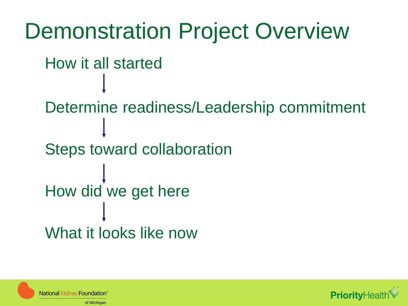

National Kidney Foundation' of Michigan

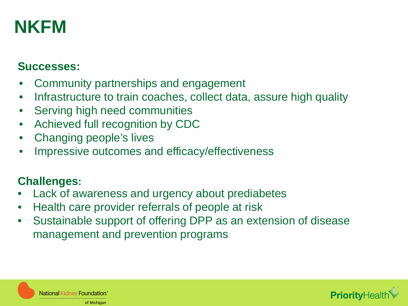### **NKFM**

#### **Successes:**

- Community partnerships and engagement
- Infrastructure to train coaches, collect data, assure high quality
- Serving high need communities
- Achieved full recognition by CDC
- Changing people's lives
- Impressive outcomes and efficacy/effectiveness

#### **Challenges:**

- Lack of awareness and urgency about prediabetes
- Health care provider referrals of people at risk
- Sustainable support of offering DPP as an extension of disease management and prevention programs



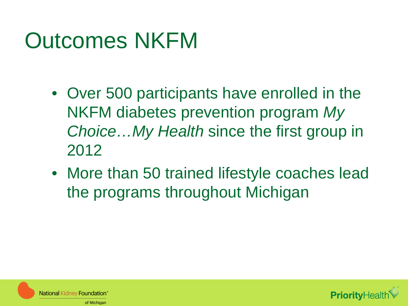## Outcomes NKFM

- Over 500 participants have enrolled in the NKFM diabetes prevention program *My Choice…My Health* since the first group in 2012
- More than 50 trained lifestyle coaches lead the programs throughout Michigan



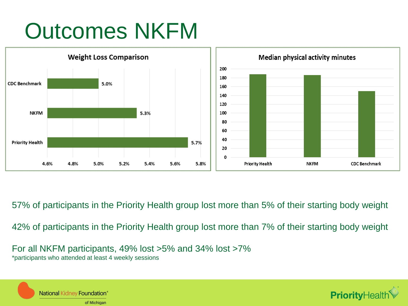## Outcomes NKFM



57% of participants in the Priority Health group lost more than 5% of their starting body weight

42% of participants in the Priority Health group lost more than 7% of their starting body weight

For all NKFM participants, 49% lost >5% and 34% lost >7% \*participants who attended at least 4 weekly sessions



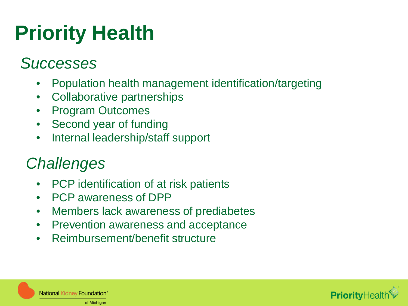## **Priority Health**

#### *Successes*

- Population health management identification/targeting
- Collaborative partnerships
- Program Outcomes
- **Second year of funding**
- Internal leadership/staff support

#### *Challenges*

- PCP identification of at risk patients
- PCP awareness of DPP
- Members lack awareness of prediabetes
- Prevention awareness and acceptance
- Reimbursement/benefit structure



National Kidney Foundation® of Michigan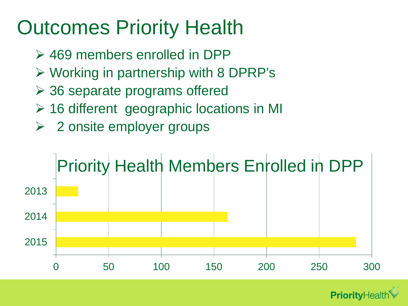## Outcomes Priority Health

- 469 members enrolled in DPP
- $\triangleright$  Working in partnership with 8 DPRP's
- 36 separate programs offered
- 16 different geographic locations in MI
- $\triangleright$  2 onsite employer groups



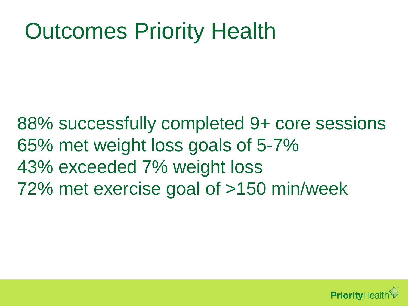## Outcomes Priority Health

88% successfully completed 9+ core sessions 65% met weight loss goals of 5-7% 43% exceeded 7% weight loss 72% met exercise goal of >150 min/week

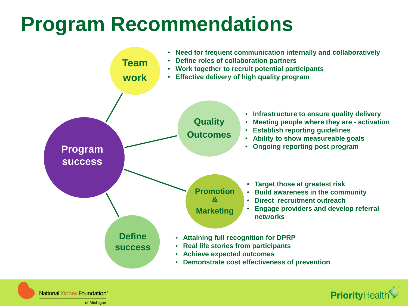## **Program Recommendations**



National Kidney Foundation®

of Michigan

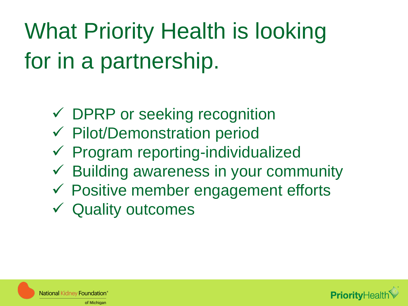## What Priority Health is looking for in a partnership.

- DPRP or seeking recognition
- $\checkmark$  Pilot/Demonstration period
- $\checkmark$  Program reporting-individualized
- $\checkmark$  Building awareness in your community
- $\checkmark$  Positive member engagement efforts
- Quality outcomes



National Kidney Foundation' of Michigan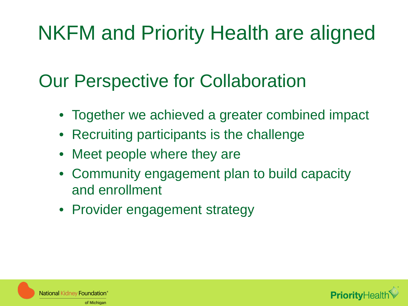## NKFM and Priority Health are aligned

### Our Perspective for Collaboration

- Together we achieved a greater combined impact
- Recruiting participants is the challenge
- Meet people where they are
- Community engagement plan to build capacity and enrollment
- Provider engagement strategy



**National Kidney Foundation** of Michigan